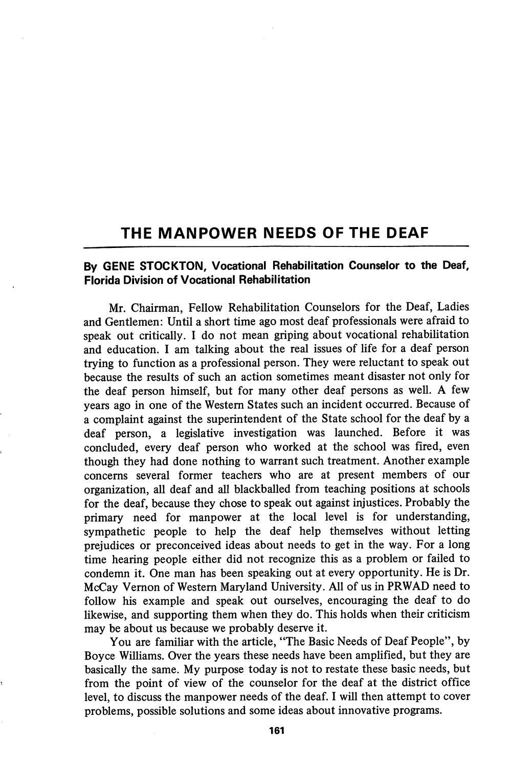## THE MANPOWER NEEDS OF THE DEAF

## By GENE STOCKTON, Vocational Rehabilitation Counselor to the Deaf, Florida Division of Vocational Rehabilitation

Mr. Chairman, Fellow Rehabilitation Counselors for the Deaf, Ladies and Gentlemen: Until a short time ago most deaf professionals were afraid to speak out critically. I do not mean griping about vocational rehabilitation and education. I am talking about the real issues of life for a deaf person trying to function as a professional person. They were reluctant to speak out because the results of such an action sometimes meant disaster not only for the deaf person himself, but for many other deaf persons as well. A few years ago in one of the Western States such an incident occurred. Because of a complaint against the superintendent of the State school for the deaf by a deaf person, a legislative investigation was launched. Before it was concluded, every deaf person who worked at the school was fired, even though they had done nothing to warrant such treatment. Another example concerns several former teachers who are at present members of our organization, all deaf and all blackballed from teaching positions at schools for the deaf, because they chose to speak out against injustices. Probably the primary need for manpower at the local level is for understanding, sympathetic people to help the deaf help themselves without letting prejudices or preconceived ideas about needs to get in the way. For a long time hearing people either did not recognize this as a problem or failed to condemn it. One man has been speaking out at every opportunity. He is Dr. McCay Yemon of Western Maryland University. All of us in PRWAD need to follow his example and speak out ourselves, encouraging the deaf to do likewise, and supporting them when they do. This holds when their criticism may be about us because we probably deserve it.

You are familiar with the article, "The Basic Needs of Deaf People", by Boyce Williams. Over the years these needs have been amplified, but they are basically the same. My purpose today is not to restate these basic needs, but from the point of view of the counselor for the deaf at the district office level, to discuss the manpower needs of the deaf. I will then attempt to cover problems, possible solutions and some ideas about innovative programs.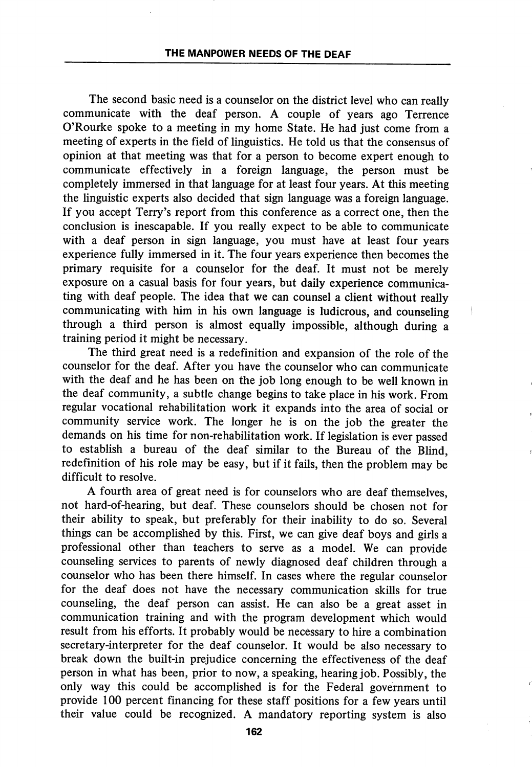The second basic need is a counselor on the district level who can really communicate with the deaf person. A couple of years ago Terrence O'Rourke spoke to a meeting in my home State. He had just come from a meeting of experts in the field of linguistics. He told us that the consensus of opinion at that meeting was that for a person to become expert enough to communicate effectively in a foreign language, the person must be completely immersed in that language for at least four years. At this meeting the linguistic experts also decided that sign language was a foreign language. If you accept Terry's report from this conference as a correct one, then the conclusion is inescapable. If you really expect to be able to communicate with a deaf person in sign language, you must have at least four years experience fully immersed in it. The four years experience then becomes the primary requisite for a counselor for the deaf. It must not be merely exposure on a casual basis for four years, but daily experience communica ting with deaf people. The idea that we can counsel a client without really communicating with him in his own language is ludicrous, and counseling through a third person is almost equally impossible, although during a training period it might be necessary.

The third great need is a redefinition and expansion of the role of the counselor for the deaf. After you have the counselor who can communicate with the deaf and he has been on the job long enough to be well known in the deaf community, a subtle change begins to take place in his work. From regular vocational rehabilitation work it expands into the area of social or community service work. The longer he is on the job the greater the demands on his time for non-rehabilitation work. If legislation is ever passed to establish a bureau of the deaf similar to the Bureau of the Blind, redefinition of his role may be easy, but if it fails, then the problem may be difficult to resolve.

A fourth area of great need is for counselors who are deaf themselves, not hard-of-hearing, but deaf. These counselors should be chosen not for their ability to speak, but preferably for their inability to do so. Several things can be accomplished by this. First, we can give deaf boys and girls a professional other than teachers to serve as a model. We can provide counseling services to parents of newly diagnosed deaf children through a counselor who has been there himself. In cases where the regular counselor for the deaf does not have the necessary communication skills for true counseling, the deaf person can assist. He can also be a great asset in communication training and with the program development which would result from his efforts. It probably would be necessary to hire a combination secretary-interpreter for the deaf counselor. It would be also necessary to break down the built-in prejudice concerning the effectiveness of the deaf person in what has been, prior to now, a speaking, hearing job. Possibly, the only way this could be accomplished is for the Federal government to provide 100 percent financing for these staff positions for a few years until their value could be recognized. A mandatory reporting system is also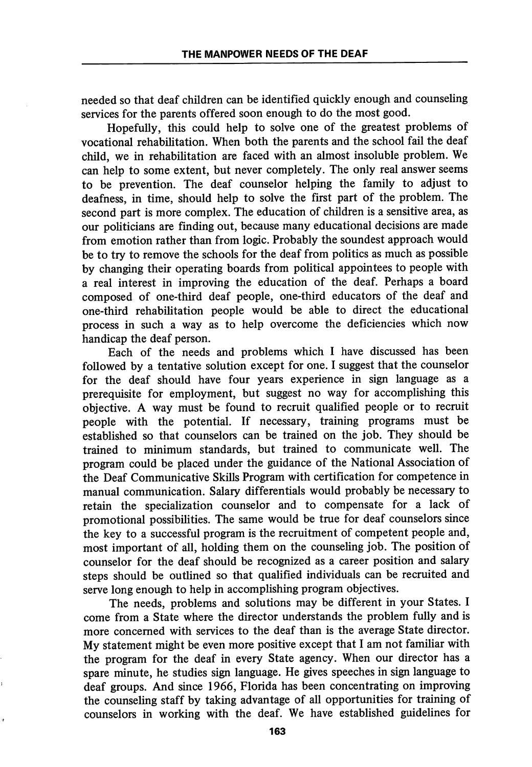needed so that deaf children can be identified quickly enough and counseling services for the parents offered soon enough to do the most good.

Hopefully, this could help to solve one of the greatest problems of vocational rehabilitation. When both the parents and the school fail the deaf child, we in rehabilitation are faced with an almost insoluble problem. We can help to some extent, but never completely. The only real answer seems to be prevention. The deaf counselor helping the family to adjust to deafness, in time, should help to solve the first part of the problem. The second part is more complex. The education of children is a sensitive area, as our politicians are finding out, because many educational decisions are made from emotion rather than from logic. Probably the soundest approach would be to try to remove the schools for the deaf from politics as much as possible by changing their operating boards from political appointees to people with a real interest in improving the education of the deaf. Perhaps a board composed of one-third deaf people, one-third educators of the deaf and one-third rehabilitation people would be able to direct the educational process in such a way as to help overcome the deficiencies which now handicap the deaf person.

Each of the needs and problems which I have discussed has been followed by a tentative solution except for one. I suggest that the counselor for the deaf should have four years experience in sign language as a prerequisite for employment, but suggest no way for accomplishing this objective. A way must be found to recruit qualified people or to recruit people with the potential. If necessary, training programs must be established so that counselors can be trained on the job. They should be trained to minimum standards, but trained to communicate well. The program could be placed under the guidance of the National Association of the Deaf Communicative Skills Program with certification for competence in manual communication. Salary differentials would probably be necessary to retain the specialization counselor and to compensate for a lack of promotional possibilities. The same would be true for deaf counselors since the key to a successful program is the recruitment of competent people and, most important of all, holding them on the counseling job. The position of counselor for the deaf should be recognized as a career position and salary steps should be outlined so that qualified individuals can be recruited and serve long enough to help in accomplishing program objectives.

The needs, problems and solutions may be different in your States. I come from a State where the director understands the problem fully and is more concerned with services to the deaf than is the average State director. My statement might be even more positive except that I am not familiar with the program for the deaf in every State agency. When our director has a spare minute, he studies sign language. He gives speeches in sign language to deaf groups. And since 1966, Florida has been concentrating on improving the counseling staff by taking advantage of all opportunities for training of counselors in working with the deaf. We have established guidelines for

163